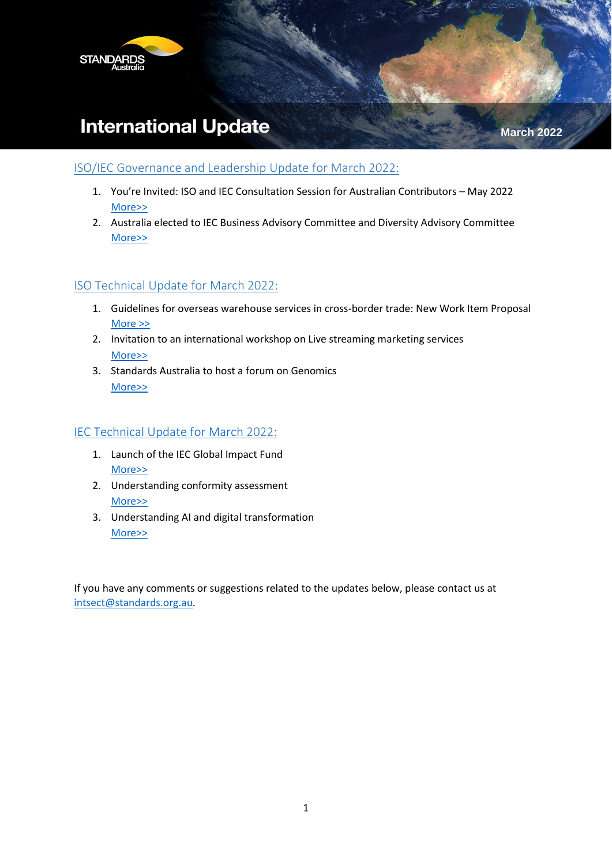

# **International Update**

**March 2022**

### ISO/IEC Governance and Leadership Update for March 2022:

- 1. You're Invited: ISO and IEC Consultation Session for Australian Contributors May 2022 [More>>](#page-1-0)
- 2. Australia elected to IEC Business Advisory Committee and Diversity Advisory Committee [More>>](#page-1-1)

## ISO Technical Update for March 2022:

- 1. Guidelines for overseas warehouse services in cross-border trade: New Work Item Proposal [More >>](#page-2-0)
- 2. Invitation to an international workshop on Live streaming marketing services [More>>](#page-2-1)
- 3. Standards Australia to host a forum on Genomics [More>>](#page-2-2)

## IEC Technical Update for March 2022:

- 1. Launch of the IEC Global Impact Fund [More>>](#page-4-0)
- 2. Understanding conformity assessment [More>>](#page-4-1)
- 3. Understanding AI and digital transformation [More>>](#page-4-2)

If you have any comments or suggestions related to the updates below, please contact us at [intsect@standards.org.au.](mailto:intsect@standards.org.au)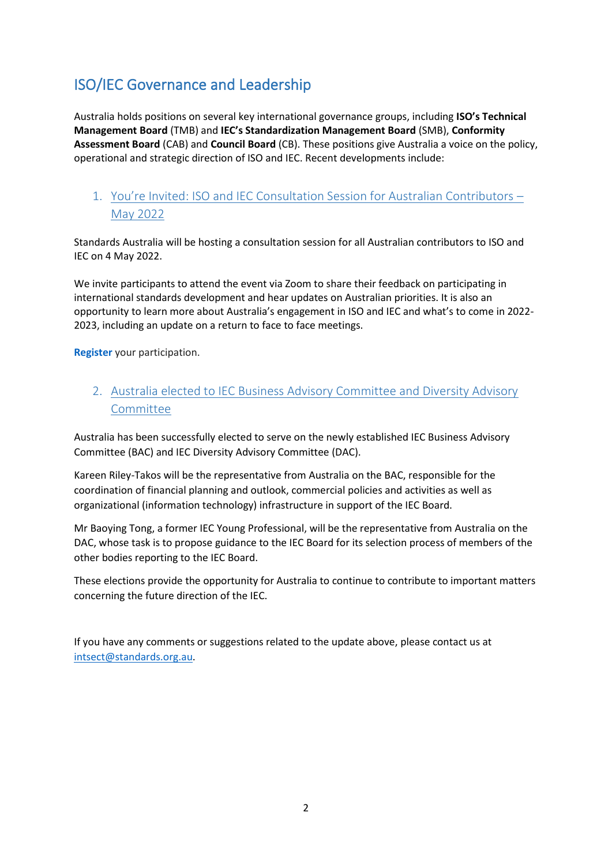## ISO/IEC Governance and Leadership

Australia holds positions on several key international governance groups, including **ISO's Technical Management Board** (TMB) and **IEC's Standardization Management Board** (SMB), **Conformity Assessment Board** (CAB) and **Council Board** (CB). These positions give Australia a voice on the policy, operational and strategic direction of ISO and IEC. Recent developments include:

## <span id="page-1-0"></span>1. You're Invited: ISO and IEC Consultation Session for Australian Contributors – May 2022

Standards Australia will be hosting a consultation session for all Australian contributors to ISO and IEC on 4 May 2022.

We invite participants to attend the event via Zoom to share their feedback on participating in international standards development and hear updates on Australian priorities. It is also an opportunity to learn more about Australia's engagement in ISO and IEC and what's to come in 2022- 2023, including an update on a return to face to face meetings.

**[Register](https://www.eventbrite.com.au/e/iso-and-iec-consultation-session-registration-296423850717)** your participation.

<span id="page-1-1"></span>2. Australia elected to IEC Business Advisory Committee and Diversity Advisory **Committee** 

Australia has been successfully elected to serve on the newly established IEC Business Advisory Committee (BAC) and IEC Diversity Advisory Committee (DAC).

Kareen Riley-Takos will be the representative from Australia on the BAC, responsible for the coordination of financial planning and outlook, commercial policies and activities as well as organizational (information technology) infrastructure in support of the IEC Board.

Mr Baoying Tong, a former IEC Young Professional, will be the representative from Australia on the DAC, whose task is to propose guidance to the IEC Board for its selection process of members of the other bodies reporting to the IEC Board.

These elections provide the opportunity for Australia to continue to contribute to important matters concerning the future direction of the IEC.

If you have any comments or suggestions related to the update above, please contact us at [intsect@standards.org.au.](mailto:intsect@standards.org.au)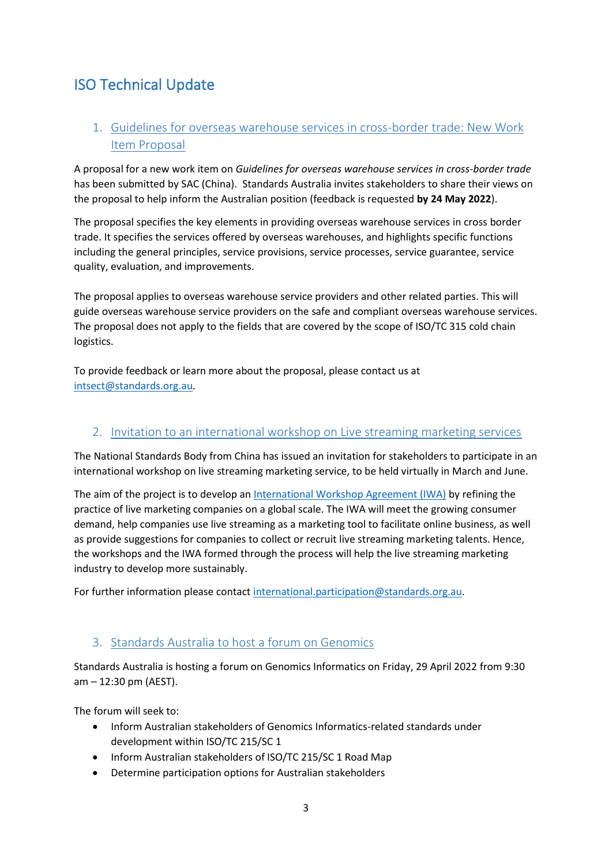## ISO Technical Update

## <span id="page-2-0"></span>1. Guidelines for overseas warehouse services in cross-border trade: New Work Item Proposal

A proposal for a new work item on *Guidelines for overseas warehouse services in cross-border trade* has been submitted by SAC (China). Standards Australia invites stakeholders to share their views on the proposal to help inform the Australian position (feedback is requested **by 24 May 2022**).

The proposal specifies the key elements in providing overseas warehouse services in cross border trade. It specifies the services offered by overseas warehouses, and highlights specific functions including the general principles, service provisions, service processes, service guarantee, service quality, evaluation, and improvements.

The proposal applies to overseas warehouse service providers and other related parties. This will guide overseas warehouse service providers on the safe and compliant overseas warehouse services. The proposal does not apply to the fields that are covered by the scope of ISO/TC 315 cold chain logistics.

To provide feedback or learn more about the proposal, please contact us at [intsect@standards.org.au.](mailto:intsect@standards.org.au)

### <span id="page-2-1"></span>2. Invitation to an international workshop on Live streaming marketing services

The National Standards Body from China has issued an invitation for stakeholders to participate in an international workshop on live streaming marketing service, to be held virtually in March and June.

The aim of the project is to develop a[n International Workshop Agreement \(IWA\)](https://www.iso.org/deliverables-all.html#IWA) by refining the practice of live marketing companies on a global scale. The IWA will meet the growing consumer demand, help companies use live streaming as a marketing tool to facilitate online business, as well as provide suggestions for companies to collect or recruit live streaming marketing talents. Hence, the workshops and the IWA formed through the process will help the live streaming marketing industry to develop more sustainably.

For further information please contact [international.participation@standards.org.au.](mailto:international.participation@standards.org.au)

### <span id="page-2-2"></span>3. Standards Australia to host a forum on Genomics

Standards Australia is hosting a forum on Genomics Informatics on Friday, 29 April 2022 from 9:30 am – 12:30 pm (AEST).

The forum will seek to:

- Inform Australian stakeholders of Genomics Informatics-related standards under development within ISO/TC 215/SC 1
- Inform Australian stakeholders of ISO/TC 215/SC 1 Road Map
- Determine participation options for Australian stakeholders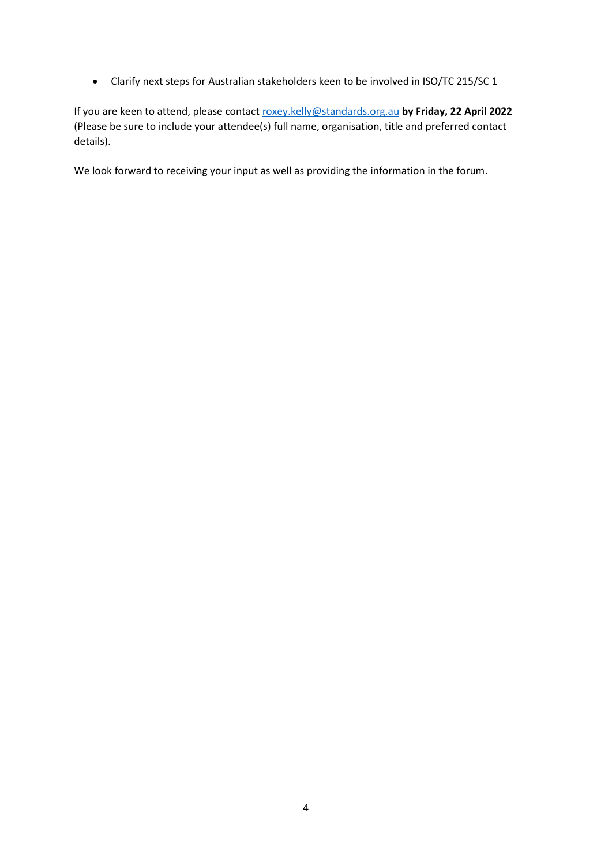• Clarify next steps for Australian stakeholders keen to be involved in ISO/TC 215/SC 1

If you are keen to attend, please contact [roxey.kelly@standards.org.au](mailto:roxey.kelly@standards.org.au) **by Friday, 22 April 2022** (Please be sure to include your attendee(s) full name, organisation, title and preferred contact details).

We look forward to receiving your input as well as providing the information in the forum.